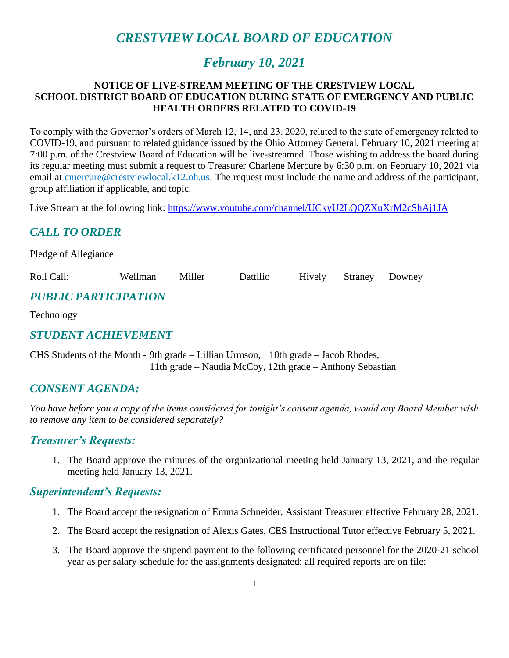# *CRESTVIEW LOCAL BOARD OF EDUCATION*

# *February 10, 2021*

#### **NOTICE OF LIVE-STREAM MEETING OF THE CRESTVIEW LOCAL SCHOOL DISTRICT BOARD OF EDUCATION DURING STATE OF EMERGENCY AND PUBLIC HEALTH ORDERS RELATED TO COVID-19**

To comply with the Governor's orders of March 12, 14, and 23, 2020, related to the state of emergency related to COVID-19, and pursuant to related guidance issued by the Ohio Attorney General, February 10, 2021 meeting at 7:00 p.m. of the Crestview Board of Education will be live-streamed. Those wishing to address the board during its regular meeting must submit a request to Treasurer Charlene Mercure by 6:30 p.m. on February 10, 2021 via email at [cmercure@crestviewlocal.k12.oh.us.](mailto:cmercure@crestviewlocal.k12.oh.us) The request must include the name and address of the participant, group affiliation if applicable, and topic.

Live Stream at the following link: <https://www.youtube.com/channel/UCkyU2LQQZXuXrM2cShAj1JA>

## *CALL TO ORDER*

Pledge of Allegiance

| Roll Call:<br>Miller<br>Hively Straney Downey<br>Dattilio<br>Wellman |  |
|----------------------------------------------------------------------|--|
|----------------------------------------------------------------------|--|

## *PUBLIC PARTICIPATION*

Technology

### *STUDENT ACHIEVEMENT*

CHS Students of the Month - 9th grade – Lillian Urmson, 10th grade – Jacob Rhodes, 11th grade – Naudia McCoy, 12th grade – Anthony Sebastian

## *CONSENT AGENDA:*

*You have before you a copy of the items considered for tonight's consent agenda, would any Board Member wish to remove any item to be considered separately?*

### *Treasurer's Requests:*

1. The Board approve the minutes of the organizational meeting held January 13, 2021, and the regular meeting held January 13, 2021.

#### *Superintendent's Requests:*

- 1. The Board accept the resignation of Emma Schneider, Assistant Treasurer effective February 28, 2021.
- 2. The Board accept the resignation of Alexis Gates, CES Instructional Tutor effective February 5, 2021.
- 3. The Board approve the stipend payment to the following certificated personnel for the 2020-21 school year as per salary schedule for the assignments designated: all required reports are on file: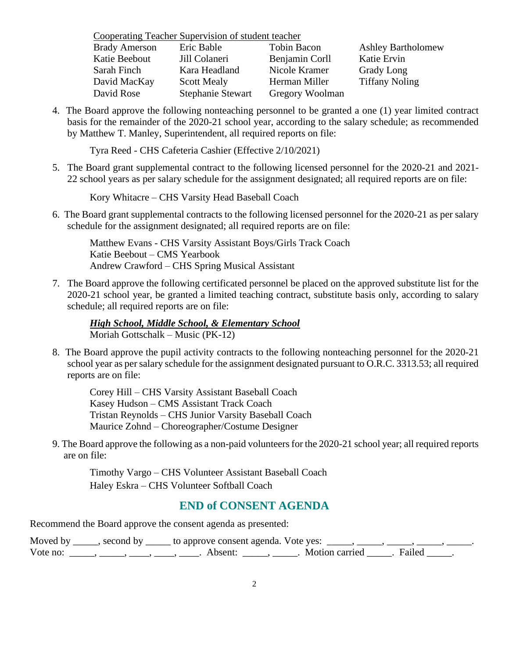|                      | Cooperating Teacher Supervision of student teacher |                    |                           |
|----------------------|----------------------------------------------------|--------------------|---------------------------|
| <b>Brady Amerson</b> | Eric Bable                                         | <b>Tobin Bacon</b> | <b>Ashley Bartholomew</b> |
| Katie Beebout        | Jill Colaneri                                      | Benjamin Corll     | Katie Ervin               |
| Sarah Finch          | Kara Headland                                      | Nicole Kramer      | Grady Long                |
| David MacKay         | <b>Scott Mealy</b>                                 | Herman Miller      | <b>Tiffany Noling</b>     |
| David Rose           | <b>Stephanie Stewart</b>                           | Gregory Woolman    |                           |

4. The Board approve the following nonteaching personnel to be granted a one (1) year limited contract basis for the remainder of the 2020-21 school year, according to the salary schedule; as recommended by Matthew T. Manley, Superintendent, all required reports on file:

Tyra Reed - CHS Cafeteria Cashier (Effective 2/10/2021)

5. The Board grant supplemental contract to the following licensed personnel for the 2020-21 and 2021- 22 school years as per salary schedule for the assignment designated; all required reports are on file:

Kory Whitacre – CHS Varsity Head Baseball Coach

 6. The Board grant supplemental contracts to the following licensed personnel for the 2020-21 as per salary schedule for the assignment designated; all required reports are on file:

Matthew Evans - CHS Varsity Assistant Boys/Girls Track Coach Katie Beebout – CMS Yearbook Andrew Crawford – CHS Spring Musical Assistant

 7. The Board approve the following certificated personnel be placed on the approved substitute list for the 2020-21 school year, be granted a limited teaching contract, substitute basis only, according to salary schedule; all required reports are on file:

#### *High School, Middle School, & Elementary School* Moriah Gottschalk – Music (PK-12)

 8. The Board approve the pupil activity contracts to the following nonteaching personnel for the 2020-21 school year as per salary schedule for the assignment designated pursuant to O.R.C. 3313.53; all required reports are on file:

Corey Hill – CHS Varsity Assistant Baseball Coach Kasey Hudson – CMS Assistant Track Coach Tristan Reynolds – CHS Junior Varsity Baseball Coach Maurice Zohnd – Choreographer/Costume Designer

9. The Board approve the following as a non-paid volunteersfor the 2020-21 school year; all required reports are on file:

Timothy Vargo – CHS Volunteer Assistant Baseball Coach Haley Eskra – CHS Volunteer Softball Coach

## **END of CONSENT AGENDA**

Recommend the Board approve the consent agenda as presented:

|          | Moved by _____, second by _____ to approve consent agenda. Vote yes: |                           |  |
|----------|----------------------------------------------------------------------|---------------------------|--|
| Vote no: | Absent:                                                              | . Motion carried . Failed |  |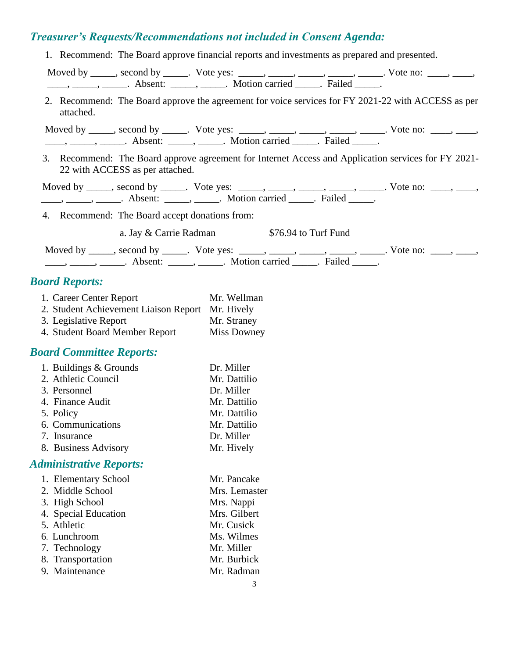## *Treasurer's Requests/Recommendations not included in Consent Agenda:*

| 1. Recommend: The Board approve financial reports and investments as prepared and presented.                                                                                                                                                                                                                                                                                                                                                                                                                                                                                                |
|---------------------------------------------------------------------------------------------------------------------------------------------------------------------------------------------------------------------------------------------------------------------------------------------------------------------------------------------------------------------------------------------------------------------------------------------------------------------------------------------------------------------------------------------------------------------------------------------|
| Moved by _____, second by _____. Vote yes: _____, _____, _____, _____, _____. Vote no: ____, ____,<br><u>_____, _____</u> , _______. Absent: ______, ______. Motion carried ______. Failed _____.                                                                                                                                                                                                                                                                                                                                                                                           |
| 2. Recommend: The Board approve the agreement for voice services for FY 2021-22 with ACCESS as per<br>attached.                                                                                                                                                                                                                                                                                                                                                                                                                                                                             |
| Moved by _____, second by _____. Vote yes: _____, _____, _____, _____, _____. Vote no: ____, ____,<br>$\frac{1}{1}, \frac{1}{1}, \frac{1}{1}, \frac{1}{1}, \frac{1}{1}, \frac{1}{1}, \frac{1}{1}, \frac{1}{1}, \frac{1}{1}, \frac{1}{1}, \frac{1}{1}, \frac{1}{1}, \frac{1}{1}, \frac{1}{1}, \frac{1}{1}, \frac{1}{1}, \frac{1}{1}, \frac{1}{1}, \frac{1}{1}, \frac{1}{1}, \frac{1}{1}, \frac{1}{1}, \frac{1}{1}, \frac{1}{1}, \frac{1}{1}, \frac{1}{1}, \frac{1}{1}, \frac{1}{1}, \frac{1}{1}, \frac{1}{1}, \frac{1}{1}, \frac{$                                                           |
| 3. Recommend: The Board approve agreement for Internet Access and Application services for FY 2021-<br>22 with ACCESS as per attached.                                                                                                                                                                                                                                                                                                                                                                                                                                                      |
| Moved by _____, second by _____. Vote yes: _____, _____, _____, _____, _____. Vote no: ____, _____,<br><u>_____, _____</u> , _______. Absent: ______, ______. Motion carried ______. Failed _____.                                                                                                                                                                                                                                                                                                                                                                                          |
| 4. Recommend: The Board accept donations from:                                                                                                                                                                                                                                                                                                                                                                                                                                                                                                                                              |
| a. Jay & Carrie Radman<br>\$76.94 to Turf Fund                                                                                                                                                                                                                                                                                                                                                                                                                                                                                                                                              |
| Moved by _____, second by _____. Vote yes: _____, _____, _____, _____, _____. Vote no: ____, _____,<br>$\frac{1}{1}, \frac{1}{1}, \frac{1}{1}, \frac{1}{1}, \frac{1}{1}, \frac{1}{1}, \frac{1}{1}, \frac{1}{1}, \frac{1}{1}, \frac{1}{1}, \frac{1}{1}, \frac{1}{1}, \frac{1}{1}, \frac{1}{1}, \frac{1}{1}, \frac{1}{1}, \frac{1}{1}, \frac{1}{1}, \frac{1}{1}, \frac{1}{1}, \frac{1}{1}, \frac{1}{1}, \frac{1}{1}, \frac{1}{1}, \frac{1}{1}, \frac{1}{1}, \frac{1}{1}, \frac{1}{1}, \frac{1}{1}, \frac{1}{1}, \frac{1}{1}, \frac{$<br>$\mathbf{D}_{\alpha}$ and $\mathbf{D}_{\alpha}$ ponta |

#### *Board Reports:*

| 1. Career Center Report | Mr. Wellman |
|-------------------------|-------------|
|-------------------------|-------------|

- 2. Student Achievement Liaison Report Mr. Hively<br>
3. Legislative Report Mr. Straney
- 3. Legislative Report Mr. Straney<br>
4. Student Board Member Report Miss Downey
- 4. Student Board Member Report

## *Board Committee Reports:*

| 1. Buildings & Grounds | Dr. Miller   |
|------------------------|--------------|
| 2. Athletic Council    | Mr. Dattilio |
| 3. Personnel           | Dr. Miller   |
| 4. Finance Audit       | Mr. Dattilio |
| 5. Policy              | Mr. Dattilio |
| 6. Communications      | Mr. Dattilio |
| 7. Insurance           | Dr. Miller   |
| 8. Business Advisory   | Mr. Hively   |

# *Administrative Reports:*

| 1. Elementary School | Mr. Pancake   |
|----------------------|---------------|
| 2. Middle School     | Mrs. Lemaster |
| 3. High School       | Mrs. Nappi    |
| 4. Special Education | Mrs. Gilbert  |
| 5. Athletic          | Mr. Cusick    |
| 6. Lunchroom         | Ms. Wilmes    |
| 7. Technology        | Mr. Miller    |
| 8. Transportation    | Mr. Burbick   |
| 9. Maintenance       | Mr. Radman    |
|                      |               |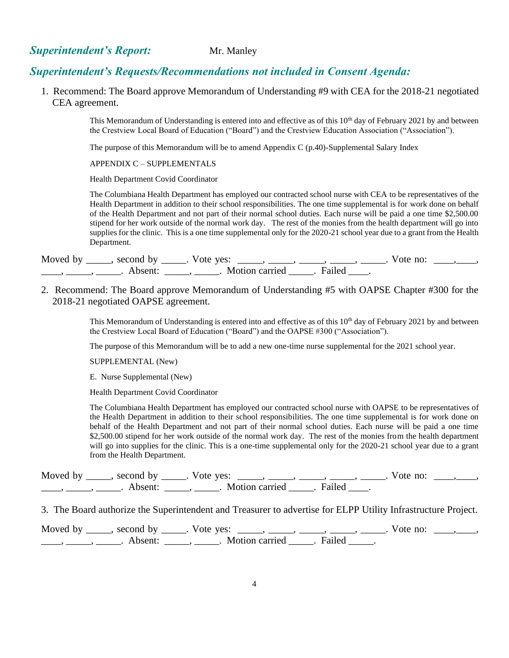#### **Superintendent's Report:** Mr. Manley

#### *Superintendent's Requests/Recommendations not included in Consent Agenda:*

1. Recommend: The Board approve Memorandum of Understanding #9 with CEA for the 2018-21 negotiated CEA agreement.

> This Memorandum of Understanding is entered into and effective as of this  $10<sup>th</sup>$  day of February 2021 by and between the Crestview Local Board of Education ("Board") and the Crestview Education Association ("Association").

The purpose of this Memorandum will be to amend Appendix C (p.40)-Supplemental Salary Index

APPENDIX C – SUPPLEMENTALS

Health Department Covid Coordinator

The Columbiana Health Department has employed our contracted school nurse with CEA to be representatives of the Health Department in addition to their school responsibilities. The one time supplemental is for work done on behalf of the Health Department and not part of their normal school duties. Each nurse will be paid a one time \$2,500.00 stipend for her work outside of the normal work day. The rest of the monies from the health department will go into supplies for the clinic. This is a one time supplemental only for the 2020-21 school year due to a grant from the Health Department.

| Moved by | second by | Vote yes:      | Vote no: |  |
|----------|-----------|----------------|----------|--|
|          | Absent:   | Motion carried | Failed   |  |

2. Recommend: The Board approve Memorandum of Understanding #5 with OAPSE Chapter #300 for the 2018-21 negotiated OAPSE agreement.

> This Memorandum of Understanding is entered into and effective as of this  $10<sup>th</sup>$  day of February 2021 by and between the Crestview Local Board of Education ("Board") and the OAPSE #300 ("Association").

The purpose of this Memorandum will be to add a new one-time nurse supplemental for the 2021 school year.

SUPPLEMENTAL (New)

E. Nurse Supplemental (New)

Health Department Covid Coordinator

The Columbiana Health Department has employed our contracted school nurse with OAPSE to be representatives of the Health Department in addition to their school responsibilities. The one time supplemental is for work done on behalf of the Health Department and not part of their normal school duties. Each nurse will be paid a one time \$2,500.00 stipend for her work outside of the normal work day. The rest of the monies from the health department will go into supplies for the clinic. This is a one-time supplemental only for the 2020-21 school year due to a grant from the Health Department.

| Moved by | second by | Vote yes:      | Vote no: |  |
|----------|-----------|----------------|----------|--|
|          | Absent:   | Motion carried | Failed   |  |

3. The Board authorize the Superintendent and Treasurer to advertise for ELPP Utility Infrastructure Project.

Moved by \_\_\_\_, second by \_\_\_\_\_. Vote yes: \_\_\_\_\_, \_\_\_\_\_, \_\_\_\_\_, \_\_\_\_\_, \_\_\_\_. Vote no: \_\_\_\_, \_\_\_\_, \_\_\_\_\_, \_\_\_\_\_\_, Absent: \_\_\_\_\_, \_\_\_\_\_. Motion carried \_\_\_\_\_. Failed \_\_\_\_\_.